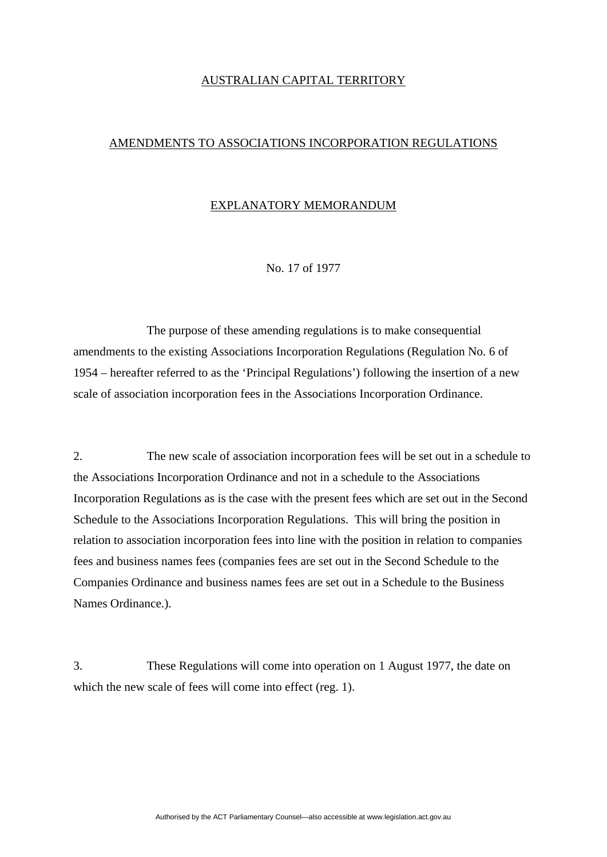## AUSTRALIAN CAPITAL TERRITORY

## AMENDMENTS TO ASSOCIATIONS INCORPORATION REGULATIONS

## EXPLANATORY MEMORANDUM

No. 17 of 1977

 The purpose of these amending regulations is to make consequential amendments to the existing Associations Incorporation Regulations (Regulation No. 6 of 1954 – hereafter referred to as the 'Principal Regulations') following the insertion of a new scale of association incorporation fees in the Associations Incorporation Ordinance.

2. The new scale of association incorporation fees will be set out in a schedule to the Associations Incorporation Ordinance and not in a schedule to the Associations Incorporation Regulations as is the case with the present fees which are set out in the Second Schedule to the Associations Incorporation Regulations. This will bring the position in relation to association incorporation fees into line with the position in relation to companies fees and business names fees (companies fees are set out in the Second Schedule to the Companies Ordinance and business names fees are set out in a Schedule to the Business Names Ordinance.).

3. These Regulations will come into operation on 1 August 1977, the date on which the new scale of fees will come into effect (reg. 1).